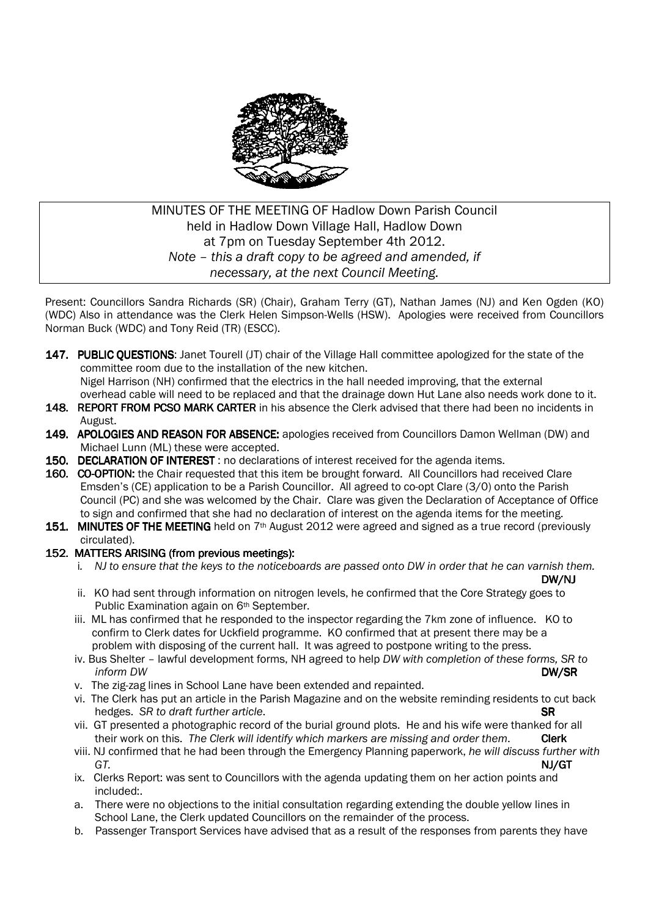

# MINUTES OF THE MEETING OF Hadlow Down Parish Council held in Hadlow Down Village Hall, Hadlow Down at 7pm on Tuesday September 4th 2012. *Note – this a draft copy to be agreed and amended, if necessary, at the next Council Meeting.*

Present: Councillors Sandra Richards (SR) (Chair), Graham Terry (GT), Nathan James (NJ) and Ken Ogden (KO) (WDC) Also in attendance was the Clerk Helen Simpson-Wells (HSW). Apologies were received from Councillors Norman Buck (WDC) and Tony Reid (TR) (ESCC).

147. PUBLIC QUESTIONS: Janet Tourell (JT) chair of the Village Hall committee apologized for the state of the committee room due to the installation of the new kitchen. Nigel Harrison (NH) confirmed that the electrics in the hall needed improving, that the external

 overhead cable will need to be replaced and that the drainage down Hut Lane also needs work done to it. 148. REPORT FROM PCSO MARK CARTER in his absence the Clerk advised that there had been no incidents in

- August. 149. APOLOGIES AND REASON FOR ABSENCE: apologies received from Councillors Damon Wellman (DW) and
- Michael Lunn (ML) these were accepted. 150. DECLARATION OF INTEREST : no declarations of interest received for the agenda items.
- 160. CO-OPTION: the Chair requested that this item be brought forward. All Councillors had received Clare Emsden's (CE) application to be a Parish Councillor. All agreed to co-opt Clare (3/0) onto the Parish Council (PC) and she was welcomed by the Chair. Clare was given the Declaration of Acceptance of Office to sign and confirmed that she had no declaration of interest on the agenda items for the meeting.
- 151. MINUTES OF THE MEETING held on  $7<sup>th</sup>$  August 2012 were agreed and signed as a true record (previously circulated).

### 152. MATTERS ARISING (from previous meetings):

i*. NJ to ensure that the keys to the noticeboards are passed onto DW in order that he can varnish them.*

- DW/NJ ii. KO had sent through information on nitrogen levels, he confirmed that the Core Strategy goes to Public Examination again on 6<sup>th</sup> September.
	- iii. ML has confirmed that he responded to the inspector regarding the 7km zone of influence. KO to confirm to Clerk dates for Uckfield programme. KO confirmed that at present there may be a problem with disposing of the current hall. It was agreed to postpone writing to the press.
- iv. Bus Shelter lawful development forms, NH agreed to help *DW with completion of these forms, SR to inform DW* **DW/SR** 
	- v. The zig-zag lines in School Lane have been extended and repainted.
	- vi. The Clerk has put an article in the Parish Magazine and on the website reminding residents to cut back hedges. *SR to draft further article*. Same state of the state of the state of the state of the state of the state of the state of the state of the state of the state of the state of the state of the state of the state of
	- vii. GT presented a photographic record of the burial ground plots. He and his wife were thanked for all their work on this. The Clerk will identify which markers are missing and order them. Clerk
- viii. NJ confirmed that he had been through the Emergency Planning paperwork, *he will discuss further with GT.* NJ/GT
	- ix. Clerks Report: was sent to Councillors with the agenda updating them on her action points and included:.
	- a. There were no objections to the initial consultation regarding extending the double yellow lines in School Lane, the Clerk updated Councillors on the remainder of the process.
	- b. Passenger Transport Services have advised that as a result of the responses from parents they have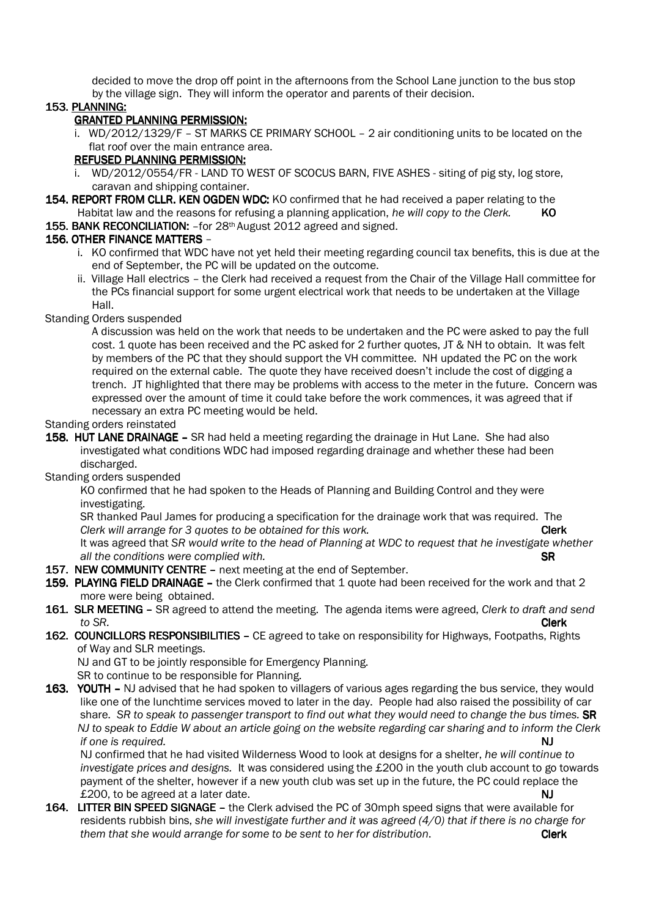decided to move the drop off point in the afternoons from the School Lane junction to the bus stop by the village sign. They will inform the operator and parents of their decision.

### 153. PLANNING:

### GRANTED PLANNING PERMISSION: GRANTED PLANNING PERMISSION:

 i. WD/2012/1329/F – ST MARKS CE PRIMARY SCHOOL – 2 air conditioning units to be located on the flat roof over the main entrance area.

## REFUSED PLANNING PERMISSION:

- i. WD/2012/0554/FR LAND TO WEST OF SCOCUS BARN, FIVE ASHES siting of pig sty, log store, caravan and shipping container.
- 154. REPORT FROM CLLR. KEN OGDEN WDC: KO confirmed that he had received a paper relating to the Habitat law and the reasons for refusing a planning application, *he will copy to the Clerk*. KO
- 155. BANK RECONCILIATION: for 28<sup>th</sup> August 2012 agreed and signed.

### 156. OTHER FINANCE MATTERS –

- i. KO confirmed that WDC have not yet held their meeting regarding council tax benefits, this is due at the end of September, the PC will be updated on the outcome.
- ii. Village Hall electrics the Clerk had received a request from the Chair of the Village Hall committee for the PCs financial support for some urgent electrical work that needs to be undertaken at the Village Hall.

#### Standing Orders suspended

 A discussion was held on the work that needs to be undertaken and the PC were asked to pay the full cost. 1 quote has been received and the PC asked for 2 further quotes, JT & NH to obtain. It was felt by members of the PC that they should support the VH committee. NH updated the PC on the work required on the external cable. The quote they have received doesn't include the cost of digging a trench. JT highlighted that there may be problems with access to the meter in the future. Concern was expressed over the amount of time it could take before the work commences, it was agreed that if necessary an extra PC meeting would be held.

#### Standing orders reinstated

158. HUT LANE DRAINAGE – SR had held a meeting regarding the drainage in Hut Lane. She had also investigated what conditions WDC had imposed regarding drainage and whether these had been discharged.

### Standing orders suspended

 KO confirmed that he had spoken to the Heads of Planning and Building Control and they were investigating.

 SR thanked Paul James for producing a specification for the drainage work that was required. The *Clerk will arrange for 3 quotes to be obtained for this work.* **Clerk Clerk**  It was agreed that *SR would write to the head of Planning at WDC to request that he investigate whether*  all the conditions were complied with.  $\mathsf{SR}$ 

- 157. NEW COMMUNITY CENTRE next meeting at the end of September.
- 159. PLAYING FIELD DRAINAGE the Clerk confirmed that 1 quote had been received for the work and that 2 more were being obtained.
- 161. SLR MEETING SR agreed to attend the meeting. The agenda items were agreed, *Clerk to draft and send to SR.* **Clerk**
- 162. COUNCILLORS RESPONSIBILITIES CE agreed to take on responsibility for Highways, Footpaths, Rights of Way and SLR meetings.

NJ and GT to be jointly responsible for Emergency Planning.

SR to continue to be responsible for Planning.

163. YOUTH - NJ advised that he had spoken to villagers of various ages regarding the bus service, they would like one of the lunchtime services moved to later in the day. People had also raised the possibility of car share. *SR to speak to passenger transport to find out what they would need to change the bus times.* SR *NJ to speak to Eddie W about an article going on the website regarding car sharing and to inform the Clerk if one is required.* NJ

 NJ confirmed that he had visited Wilderness Wood to look at designs for a shelter, *he will continue to investigate prices and designs.* It was considered using the £200 in the youth club account to go towards payment of the shelter, however if a new youth club was set up in the future, the PC could replace the £200, to be agreed at a later date. NJ

164. LITTER BIN SPEED SIGNAGE - the Clerk advised the PC of 30mph speed signs that were available for residents rubbish bins, *she will investigate further and it was agreed (4/0) that if there is no charge for them that she would arrange for some to be sent to her for distribution.* Clerk